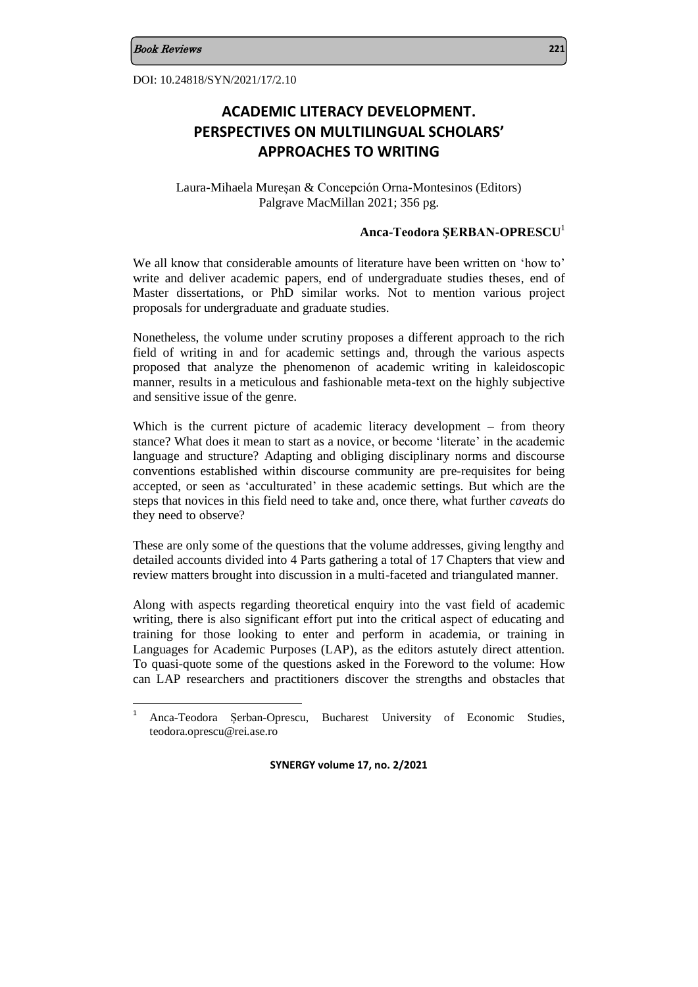DOI: 10.24818/SYN/2021/17/2.10

## **ACADEMIC LITERACY DEVELOPMENT. PERSPECTIVES ON MULTILINGUAL SCHOLARS' APPROACHES TO WRITING**

Laura-Mihaela Mureșan & Concepción Orna-Montesinos (Editors) Palgrave MacMillan 2021; 356 pg.

## **Anca-Teodora ŞERBAN-OPRESCU**<sup>1</sup>

We all know that considerable amounts of literature have been written on 'how to' write and deliver academic papers, end of undergraduate studies theses, end of Master dissertations, or PhD similar works. Not to mention various project proposals for undergraduate and graduate studies.

Nonetheless, the volume under scrutiny proposes a different approach to the rich field of writing in and for academic settings and, through the various aspects proposed that analyze the phenomenon of academic writing in kaleidoscopic manner, results in a meticulous and fashionable meta-text on the highly subjective and sensitive issue of the genre.

Which is the current picture of academic literacy development – from theory stance? What does it mean to start as a novice, or become 'literate' in the academic language and structure? Adapting and obliging disciplinary norms and discourse conventions established within discourse community are pre-requisites for being accepted, or seen as 'acculturated' in these academic settings. But which are the steps that novices in this field need to take and, once there, what further *caveats* do they need to observe?

These are only some of the questions that the volume addresses, giving lengthy and detailed accounts divided into 4 Parts gathering a total of 17 Chapters that view and review matters brought into discussion in a multi-faceted and triangulated manner.

Along with aspects regarding theoretical enquiry into the vast field of academic writing, there is also significant effort put into the critical aspect of educating and training for those looking to enter and perform in academia, or training in Languages for Academic Purposes (LAP), as the editors astutely direct attention. To quasi-quote some of the questions asked in the Foreword to the volume: How can LAP researchers and practitioners discover the strengths and obstacles that

**SYNERGY volume 17, no. 2/2021**

 $\overline{1}$ <sup>1</sup> Anca-Teodora Șerban-Oprescu, Bucharest University of Economic Studies, teodora.oprescu@rei.ase.ro